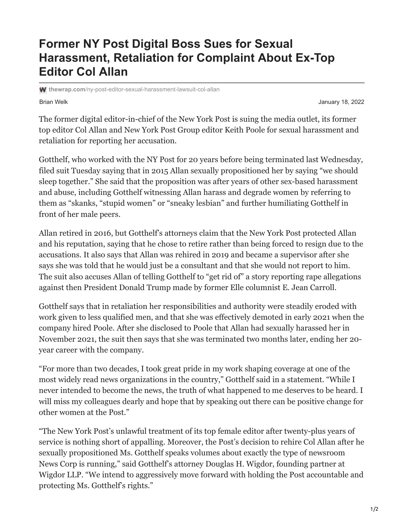## **Former NY Post Digital Boss Sues for Sexual Harassment, Retaliation for Complaint About Ex-Top Editor Col Allan**

**thewrap.com**[/ny-post-editor-sexual-harassment-lawsuit-col-allan](https://www.thewrap.com/ny-post-editor-sexual-harassment-lawsuit-col-allan/)

Brian Welk January 18, 2022

The former digital editor-in-chief of the New York Post is suing the media outlet, its former top editor Col Allan and New York Post Group editor Keith Poole for sexual harassment and retaliation for reporting her accusation.

Gotthelf, who worked with the NY Post for 20 years before being terminated last Wednesday, filed suit Tuesday saying that in 2015 Allan sexually propositioned her by saying "we should sleep together." She said that the proposition was after years of other sex-based harassment and abuse, including Gotthelf witnessing Allan harass and degrade women by referring to them as "skanks, "stupid women" or "sneaky lesbian" and further humiliating Gotthelf in front of her male peers.

Allan retired in 2016, but Gotthelf's attorneys claim that the New York Post protected Allan and his reputation, saying that he chose to retire rather than being forced to resign due to the accusations. It also says that Allan was rehired in 2019 and became a supervisor after she says she was told that he would just be a consultant and that she would not report to him. The suit also accuses Allan of telling Gotthelf to "get rid of" a story reporting rape allegations against then President Donald Trump made by former Elle columnist E. Jean Carroll.

Gotthelf says that in retaliation her responsibilities and authority were steadily eroded with work given to less qualified men, and that she was effectively demoted in early 2021 when the company hired Poole. After she disclosed to Poole that Allan had sexually harassed her in November 2021, the suit then says that she was terminated two months later, ending her 20 year career with the company.

"For more than two decades, I took great pride in my work shaping coverage at one of the most widely read news organizations in the country," Gotthelf said in a statement. "While I never intended to become the news, the truth of what happened to me deserves to be heard. I will miss my colleagues dearly and hope that by speaking out there can be positive change for other women at the Post."

"The New York Post's unlawful treatment of its top female editor after twenty-plus years of service is nothing short of appalling. Moreover, the Post's decision to rehire Col Allan after he sexually propositioned Ms. Gotthelf speaks volumes about exactly the type of newsroom News Corp is running," said Gotthelf's attorney Douglas H. Wigdor, founding partner at Wigdor LLP. "We intend to aggressively move forward with holding the Post accountable and protecting Ms. Gotthelf's rights."